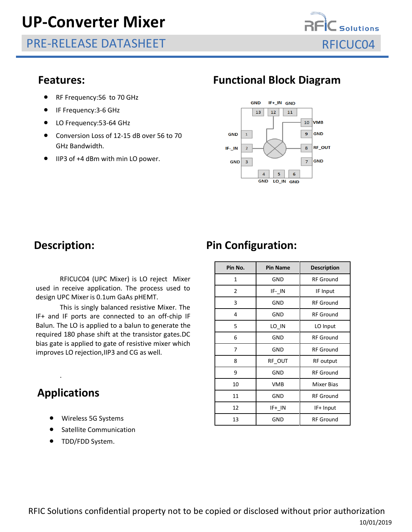# **UP-Converter Mixer**

PRE-RELEASE DATASHEET RELOCO4



- RF Frequency: 56 to 70 GHz
- IF Frequency:3-6 GHz
- LO Frequency: 53-64 GHz
- Conversion Loss of 12-15 dB over 56 to 70 GHz Bandwidth.
- IIP3 of +4 dBm with min LO power.

#### **Features: Functional Block Diagram**



RFICUC04 (UPC Mixer) is LO reject Mixer used in receive application. The process used to design UPC Mixer is 0.1um GaAs pHEMT.

This is singly balanced resistive Mixer. The IF+ and IF ports are connected to an off-chip IF Balun. The LO is applied to a balun to generate the required 180 phase shift at the transistor gates.DC bias gate is applied to gate of resistive mixer which improves LO rejection,IIP3 and CG as well.

#### **Applications**

.

- Wireless 5G Systems
- Satellite Communication
- TDD/FDD System.

## **Description:** Pin Configuration:

| Pin No.        | <b>Pin Name</b> | <b>Description</b> |  |  |
|----------------|-----------------|--------------------|--|--|
| 1              | GND             | <b>RF</b> Ground   |  |  |
| $\overline{2}$ | IF-IN           | IF Input           |  |  |
| 3              | GND             | <b>RF</b> Ground   |  |  |
| 4              | GND             | <b>RF</b> Ground   |  |  |
| 5              | LO IN           | LO Input           |  |  |
| 6              | GND             | <b>RF</b> Ground   |  |  |
| 7              | GND             | <b>RF Ground</b>   |  |  |
| 8              | RF OUT          | <b>RF</b> output   |  |  |
| 9              | GND             | <b>RF</b> Ground   |  |  |
| 10             | <b>VMB</b>      | <b>Mixer Bias</b>  |  |  |
| 11             | GND             | <b>RF</b> Ground   |  |  |
| 12             | IF+ IN          | IF+ Input          |  |  |
| 13             | GND             | <b>RF</b> Ground   |  |  |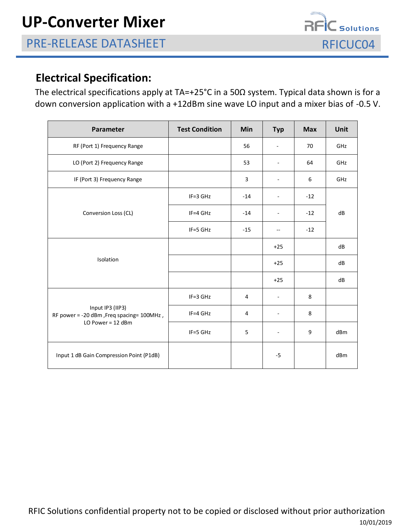$\vec{E}$  Solutions

### **Electrical Specification:**

The electrical specifications apply at TA=+25°C in a 50Ω system. Typical data shown is for a down conversion application with a +12dBm sine wave LO input and a mixer bias of -0.5 V.

| Parameter                                                                            | <b>Test Condition</b> | Min   | <b>Typ</b>               | <b>Max</b> | Unit |
|--------------------------------------------------------------------------------------|-----------------------|-------|--------------------------|------------|------|
| RF (Port 1) Frequency Range                                                          |                       | 56    |                          | 70         | GHz  |
| LO (Port 2) Frequency Range                                                          |                       | 53    | $\blacksquare$           | 64         | GHz  |
| IF (Port 3) Frequency Range                                                          |                       | 3     |                          | 6          | GHz  |
| Conversion Loss (CL)                                                                 | $IF = 3 GHz$          | $-14$ |                          | $-12$      | dB   |
|                                                                                      | $IF=4 GHz$            | $-14$ |                          | $-12$      |      |
|                                                                                      | IF=5 GHz              | $-15$ | $\overline{\phantom{a}}$ | $-12$      |      |
| Isolation                                                                            |                       |       | $+25$                    |            | dB   |
|                                                                                      |                       |       | $+25$                    |            | dB   |
|                                                                                      |                       |       | $+25$                    |            | dB   |
| Input IP3 (IIP3)<br>RF power = -20 dBm, Freq spacing= 100MHz,<br>LO Power = $12$ dBm | IF=3 GHz              | 4     |                          | 8          |      |
|                                                                                      | IF=4 GHz              | 4     |                          | 8          |      |
|                                                                                      | IF=5 GHz              | 5     |                          | 9          | dBm  |
| Input 1 dB Gain Compression Point (P1dB)                                             |                       |       | $-5$                     |            | dBm  |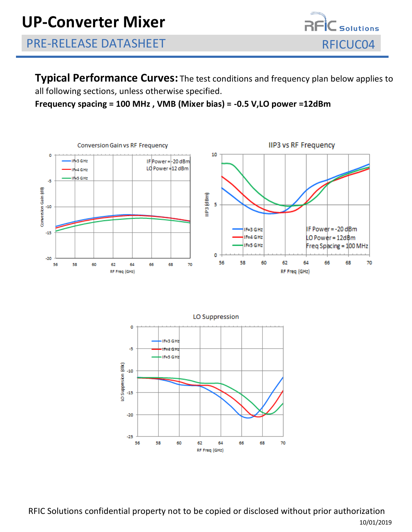

**Typical Performance Curves:** The test conditions and frequency plan below applies to all following sections, unless otherwise specified.

#### **Frequency spacing = 100 MHz , VMB (Mixer bias) = -0.5 V,LO power =12dBm**





RFIC Solutions confidential property not to be copied or disclosed without prior authorization 10/01/2019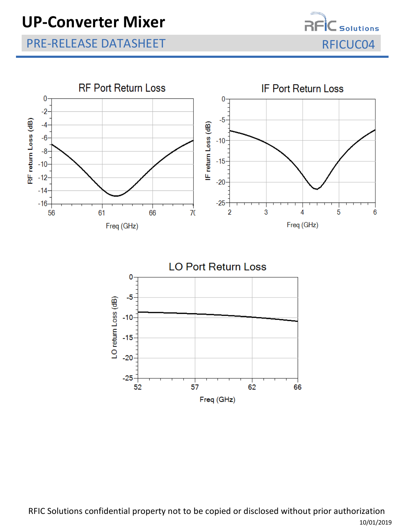### PRE-RELEASE DATASHEET RELEASE OF A SERIE RELEASE OF A SERIE RELEASE OF A SERIE RELEASE OF A SERIE RELEASE OF A

—<br>— Solutions





RFIC Solutions confidential property not to be copied or disclosed without prior authorization 10/01/2019